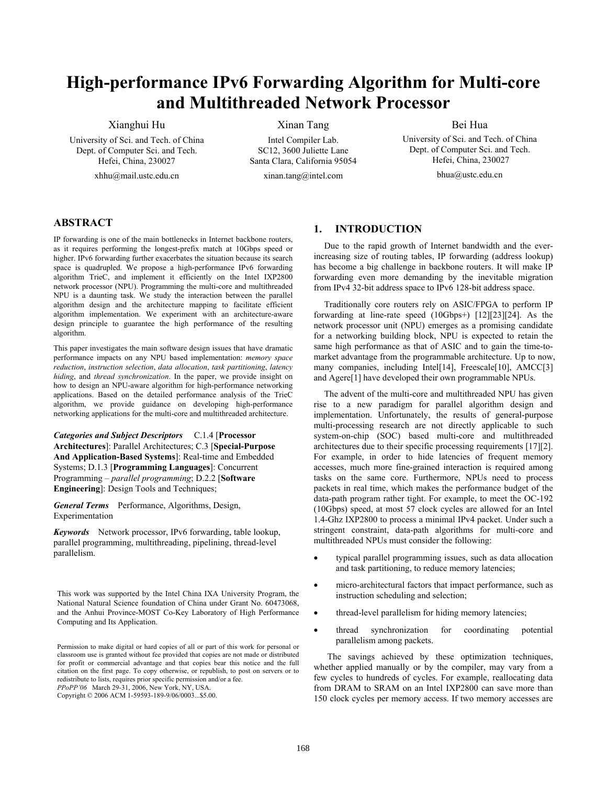# **High-performance IPv6 Forwarding Algorithm for Multi-core and Multithreaded Network Processor**

Xianghui Hu

University of Sci. and Tech. of China Dept. of Computer Sci. and Tech. Hefei, China, 230027

xhhu@mail.ustc.edu.cn

Xinan Tang

Intel Compiler Lab. SC12, 3600 Juliette Lane Santa Clara, California 95054

xinan.tang@intel.com

Bei Hua

University of Sci. and Tech. of China Dept. of Computer Sci. and Tech. Hefei, China, 230027

bhua@ustc.edu.cn

# **ABSTRACT**

IP forwarding is one of the main bottlenecks in Internet backbone routers, as it requires performing the longest-prefix match at 10Gbps speed or higher. IPv6 forwarding further exacerbates the situation because its search space is quadrupled. We propose a high-performance IPv6 forwarding algorithm TrieC, and implement it efficiently on the Intel IXP2800 network processor (NPU). Programming the multi-core and multithreaded NPU is a daunting task. We study the interaction between the parallel algorithm design and the architecture mapping to facilitate efficient algorithm implementation. We experiment with an architecture-aware design principle to guarantee the high performance of the resulting algorithm.

This paper investigates the main software design issues that have dramatic performance impacts on any NPU based implementation: *memory space reduction*, *instruction selection*, *data allocation*, *task partitioning*, *latency hiding*, and *thread synchronization*. In the paper, we provide insight on how to design an NPU-aware algorithm for high-performance networking applications. Based on the detailed performance analysis of the TrieC algorithm, we provide guidance on developing high-performance networking applications for the multi-core and multithreaded architecture.

*Categories and Subject Descriptors* C.1.4 [**Processor Architectures**]: Parallel Architectures; C.3 [**Special-Purpose And Application-Based Systems**]: Real-time and Embedded Systems; D.1.3 [**Programming Languages**]: Concurrent Programming – *parallel programming*; D.2.2 [**Software Engineering**]: Design Tools and Techniques;

*General Terms* Performance, Algorithms, Design, Experimentation

*Keywords* Network processor, IPv6 forwarding, table lookup, parallel programming, multithreading, pipelining, thread-level parallelism.

This work was supported by the Intel China IXA University Program, the instruction scheduling and selection; National Natural Science foundation of China under Grant No. 60473068, and the Anhui Province-MOST Co-Key Laboratory of High Performance Computing and Its Application.

Permission to make digital or hard copies of all or part of this work for personal or classroom use is granted without fee provided that copies are not made or distributed for profit or commercial advantage and that copies bear this notice and the full citation on the first page. To copy otherwise, or republish, to post on servers or to redistribute to lists, requires prior specific permission and/or a fee.

*PPoPP'06* March 29-31, 2006, New York, NY, USA.

## **1. INTRODUCTION**

Due to the rapid growth of Internet bandwidth and the everincreasing size of routing tables, IP forwarding (address lookup) has become a big challenge in backbone routers. It will make IP forwarding even more demanding by the inevitable migration from IPv4 32-bit address space to IPv6 128-bit address space.

Traditionally core routers rely on ASIC/FPGA to perform IP forwarding at line-rate speed (10Gbps+) [\[12\]](#page-9-0)[\[23\]](#page-9-1)[\[24\]](#page-9-2). As the network processor unit (NPU) emerges as a promising candidate for a networking building block, NPU is expected to retain the same high performance as that of ASIC and to gain the time-tomarket advantage from the programmable architecture. Up to now, many companies, including Intel[\[14\],](#page-9-3) Freescal[e\[10\],](#page-9-4) AMCC[\[3\]](#page-9-5) and Agere[\[1\]](#page-9-6) have developed their own programmable NPUs.

The advent of the multi-core and multithreaded NPU has given rise to a new paradigm for parallel algorithm design and implementation. Unfortunately, the results of general-purpose multi-processing research are not directly applicable to such system-on-chip (SOC) based multi-core and multithreaded architectures due to their specific processing requirements [\[17\]](#page-9-7)[\[2\].](#page-9-8) For example, in order to hide latencies of frequent memory accesses, much more fine-grained interaction is required among tasks on the same core. Furthermore, NPUs need to process packets in real time, which makes the performance budget of the data-path program rather tight. For example, to meet the OC-192 (10Gbps) speed, at most 57 clock cycles are allowed for an Intel 1.4-Ghz IXP2800 to process a minimal IPv4 packet. Under such a stringent constraint, data-path algorithms for multi-core and multithreaded NPUs must consider the following:

- typical parallel programming issues, such as data allocation and task partitioning, to reduce memory latencies;
- micro-architectural factors that impact performance, such as
- thread-level parallelism for hiding memory latencies;
- thread synchronization for coordinating potential parallelism among packets.

The savings achieved by these optimization techniques, whether applied manually or by the compiler, may vary from a few cycles to hundreds of cycles. For example, reallocating data from DRAM to SRAM on an Intel IXP2800 can save more than 150 clock cycles per memory access. If two memory accesses are Copyright © 2006 ACM 1-59593-189-9/06/0003...\$5.00.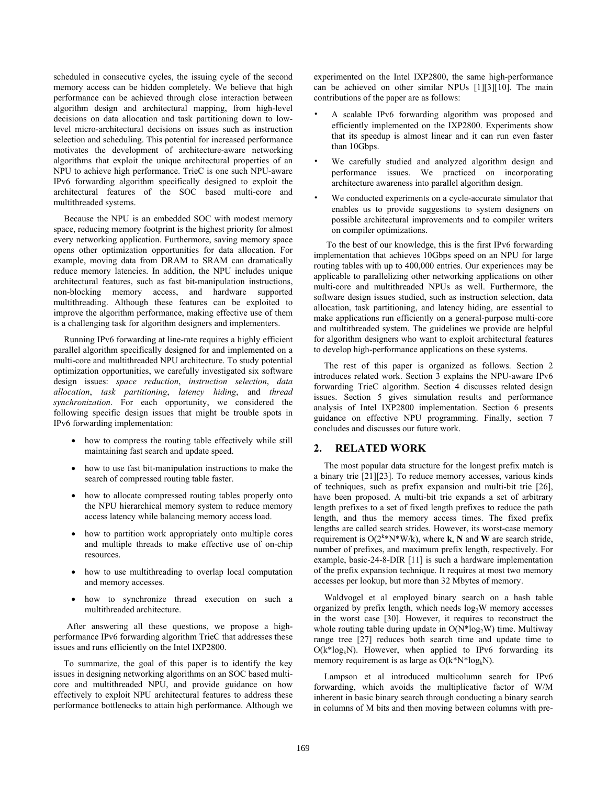scheduled in consecutive cycles, the issuing cycle of the second memory access can be hidden completely. We believe that high performance can be achieved through close interaction between algorithm design and architectural mapping, from high-level decisions on data allocation and task partitioning down to lowlevel micro-architectural decisions on issues such as instruction selection and scheduling. This potential for increased performance motivates the development of architecture-aware networking algorithms that exploit the unique architectural properties of an NPU to achieve high performance. TrieC is one such NPU-aware IPv6 forwarding algorithm specifically designed to exploit the architectural features of the SOC based multi-core and multithreaded systems.

Because the NPU is an embedded SOC with modest memory space, reducing memory footprint is the highest priority for almost every networking application. Furthermore, saving memory space opens other optimization opportunities for data allocation. For example, moving data from DRAM to SRAM can dramatically reduce memory latencies. In addition, the NPU includes unique architectural features, such as fast bit-manipulation instructions, non-blocking memory access, and hardware supported multithreading. Although these features can be exploited to improve the algorithm performance, making effective use of them is a challenging task for algorithm designers and implementers.

Running IPv6 forwarding at line-rate requires a highly efficient parallel algorithm specifically designed for and implemented on a multi-core and multithreaded NPU architecture. To study potential optimization opportunities, we carefully investigated six software design issues: *space reduction*, *instruction selection*, *data allocation*, *task partitioning*, *latency hiding*, and *thread synchronization*. For each opportunity, we considered the following specific design issues that might be trouble spots in IPv6 forwarding implementation:

- <span id="page-1-0"></span>• how to compress the routing table effectively while still maintaining fast search and update speed.
- how to use fast bit-manipulation instructions to make the search of compressed routing table faster.
- how to allocate compressed routing tables properly onto the NPU hierarchical memory system to reduce memory access latency while balancing memory access load.
- how to partition work appropriately onto multiple cores and multiple threads to make effective use of on-chip resources.
- how to use multithreading to overlap local computation and memory accesses.
- how to synchronize thread execution on such a multithreaded architecture.

After answering all these questions, we propose a highperformance IPv6 forwarding algorithm TrieC that addresses these issues and runs efficiently on the Intel IXP2800.

To summarize, the goal of this paper is to identify the key issues in designing networking algorithms on an SOC based multicore and multithreaded NPU, and provide guidance on how effectively to exploit NPU architectural features to address these performance bottlenecks to attain high performance. Although we experimented on the Intel IXP2800, the same high-performance can be achieved on other similar NPUs [\[1\]](#page-9-6)[\[3\]](#page-9-5)[\[10\].](#page-9-4) The main contributions of the paper are as follows:

- A scalable IPv6 forwarding algorithm was proposed and efficiently implemented on the IXP2800. Experiments show that its speedup is almost linear and it can run even faster than 10Gbps.
- We carefully studied and analyzed algorithm design and performance issues. We practiced on incorporating architecture awareness into parallel algorithm design.
- We conducted experiments on a cycle-accurate simulator that enables us to provide suggestions to system designers on possible architectural improvements and to compiler writers on compiler optimizations.

 To the best of our knowledge, this is the first IPv6 forwarding implementation that achieves 10Gbps speed on an NPU for large routing tables with up to 400,000 entries. Our experiences may be applicable to parallelizing other networking applications on other multi-core and multithreaded NPUs as well. Furthermore, the software design issues studied, such as instruction selection, data allocation, task partitioning, and latency hiding, are essential to make applications run efficiently on a general-purpose multi-core and multithreaded system. The guidelines we provide are helpful for algorithm designers who want to exploit architectural features to develop high-performance applications on these systems.

The rest of this paper is organized as follows. Section [2](#page-1-0) introduces related work. Section [3](#page-2-0) explains the NPU-aware IPv6 forwarding TrieC algorithm. Section [4](#page-4-0) discusses related design issues. Section [5](#page-6-0) gives simulation results and performance analysis of Intel IXP2800 implementation. Section [6](#page-8-0) presents guidance on effective NPU programming. Finally, section [7](#page-8-1) concludes and discusses our future work.

# **2. RELATED WORK**

The most popular data structure for the longest prefix match is a binary trie [\[21\]](#page-9-9)[\[23\].](#page-9-1) To reduce memory accesses, various kinds of techniques, such as prefix expansion and multi-bit trie [\[26\],](#page-9-10) have been proposed. A multi-bit trie expands a set of arbitrary length prefixes to a set of fixed length prefixes to reduce the path length, and thus the memory access times. The fixed prefix lengths are called search strides. However, its worst-case memory requirement is  $O(2^{k*}N^*W/k)$ , where **k**, **N** and **W** are search stride, number of prefixes, and maximum prefix length, respectively. For example, basic-24-8-DIR [\[11\]](#page-9-11) is such a hardware implementation of the prefix expansion technique. It requires at most two memory accesses per lookup, but more than 32 Mbytes of memory.

Waldvogel et al employed binary search on a hash table organized by prefix length, which needs  $log_2W$  memory accesses in the worst case [\[30\]](#page-9-12). However, it requires to reconstruct the whole routing table during update in  $O(N^*log_2 W)$  time. Multiway range tree [\[27\]](#page-9-13) reduces both search time and update time to  $O(k^*log_k N)$ . However, when applied to IPv6 forwarding its memory requirement is as large as  $O(k*N*log_kN)$ .

Lampson et al introduced multicolumn search for IPv6 forwarding, which avoids the multiplicative factor of W/M inherent in basic binary search through conducting a binary search in columns of M bits and then moving between columns with pre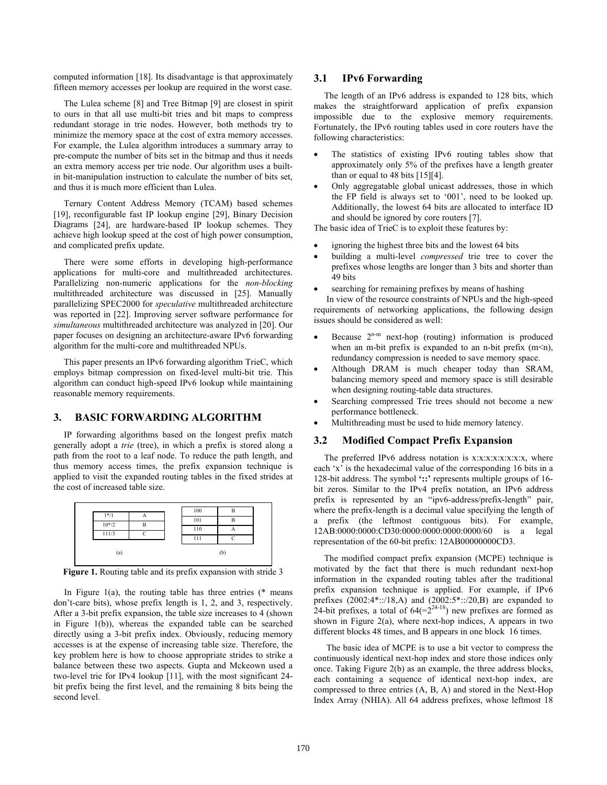computed information [\[18\]](#page-9-14). Its disadvantage is that approximately fifteen memory accesses per lookup are required in the worst case.

The Lulea scheme [\[8\]](#page-9-15) and Tree Bitmap [\[9\]](#page-9-16) are closest in spirit to ours in that all use multi-bit tries and bit maps to compress redundant storage in trie nodes. However, both methods try to minimize the memory space at the cost of extra memory accesses. For example, the Lulea algorithm introduces a summary array to pre-compute the number of bits set in the bitmap and thus it needs an extra memory access per trie node. Our algorithm uses a builtin bit-manipulation instruction to calculate the number of bits set, and thus it is much more efficient than Lulea.

Ternary Content Address Memory (TCAM) based schemes [\[19\],](#page-9-17) reconfigurable fast IP lookup engine [\[29\]](#page-9-18), Binary Decision Diagrams [\[24\]](#page-9-2), are hardware-based IP lookup schemes. They achieve high lookup speed at the cost of high power consumption, and complicated prefix update.

There were some efforts in developing high-performance applications for multi-core and multithreaded architectures. Parallelizing non-numeric applications for the *non-blocking* multithreaded architecture was discussed in [\[25\].](#page-9-19) Manually parallelizing SPEC2000 for *speculative* multithreaded architecture was reported in [\[22\].](#page-9-20) Improving server software performance for *simultaneous* multithreaded architecture was analyzed in [\[20\].](#page-9-21) Our paper focuses on designing an architecture-aware IPv6 forwarding algorithm for the multi-core and multithreaded NPUs.

This paper presents an IPv6 forwarding algorithm TrieC, which employs bitmap compression on fixed-level multi-bit trie. This algorithm can conduct high-speed IPv6 lookup while maintaining reasonable memory requirements.

# <span id="page-2-0"></span>**3. BASIC FORWARDING ALGORITHM**

IP forwarding algorithms based on the longest prefix match generally adopt a *trie* (tree), in which a prefix is stored along a path from the root to a leaf node. To reduce the path length, and thus memory access times, the prefix expansion technique is applied to visit the expanded routing tables in the fixed strides at the cost of increased table size.



**Figure 1.** Routing table and its prefix expansion with stride 3

In Figure 1(a), the routing table has three entries  $(*$  means don't-care bits), whose prefix length is 1, 2, and 3, respectively. After a 3-bit prefix expansion, the table size increases to 4 (shown in Figure 1(b)), whereas the expanded table can be searched directly using a 3-bit prefix index. Obviously, reducing memory accesses is at the expense of increasing table size. Therefore, the key problem here is how to choose appropriate strides to strike a balance between these two aspects. Gupta and Mckeown used a two-level trie for IPv4 lookup [\[11\],](#page-9-11) with the most significant 24 bit prefix being the first level, and the remaining 8 bits being the second level.

#### **3.1 IPv6 Forwarding**

The length of an IPv6 address is expanded to 128 bits, which makes the straightforward application of prefix expansion impossible due to the explosive memory requirements. Fortunately, the IPv6 routing tables used in core routers have the following characteristics:

- The statistics of existing IPv6 routing tables show that approximately only 5% of the prefixes have a length greater than or equal to 48 bits  $[15][4]$  $[15][4]$ .
- Only aggregatable global unicast addresses, those in which the FP field is always set to '001', need to be looked up. Additionally, the lowest 64 bits are allocated to interface ID and should be ignored by core routers [\[7\].](#page-9-24)

The basic idea of TrieC is to exploit these features by:

- ignoring the highest three bits and the lowest 64 bits
- building a multi-level *compressed* trie tree to cover the prefixes whose lengths are longer than 3 bits and shorter than 49 bits
- searching for remaining prefixes by means of hashing

 In view of the resource constraints of NPUs and the high-speed requirements of networking applications, the following design issues should be considered as well:

- Because  $2^{n-m}$  next-hop (routing) information is produced when an m-bit prefix is expanded to an n-bit prefix  $(m \le n)$ , redundancy compression is needed to save memory space.
- Although DRAM is much cheaper today than SRAM, balancing memory speed and memory space is still desirable when designing routing-table data structures.
- Searching compressed Trie trees should not become a new performance bottleneck.
- Multithreading must be used to hide memory latency.

#### **3.2 Modified Compact Prefix Expansion**

The preferred IPv6 address notation is x:x:x:x:x:x:x:x, where each 'x' is the hexadecimal value of the corresponding 16 bits in a 128-bit address. The symbol **'::'** represents multiple groups of 16 bit zeros. Similar to the IPv4 prefix notation, an IPv6 address prefix is represented by an "ipv6-address/prefix-length" pair, where the prefix-length is a decimal value specifying the length of a prefix (the leftmost contiguous bits). For example, 12AB:0000:0000:CD30:0000:0000:0000:0000/60 is a legal representation of the 60-bit prefix: 12AB00000000CD3.

The modified compact prefix expansion (MCPE) technique is motivated by the fact that there is much redundant next-hop information in the expanded routing tables after the traditional prefix expansion technique is applied. For example, if IPv6 prefixes  $(2002.4$ \*::/18,A) and  $(2002.5$ \*::/20,B) are expanded to 24-bit prefixes, a total of  $64(=2^{24-18})$  new prefixes are formed as shown in Figure  $2(a)$ , where next-hop indices, A appears in two different blocks 48 times, and B appears in one block 16 times.

 The basic idea of MCPE is to use a bit vector to compress the continuously identical next-hop index and store those indices only once. Taking Figure 2(b) as an example, the three address blocks, each containing a sequence of identical next-hop index, are compressed to three entries (A, B, A) and stored in the Next-Hop Index Array (NHIA). All 64 address prefixes, whose leftmost 18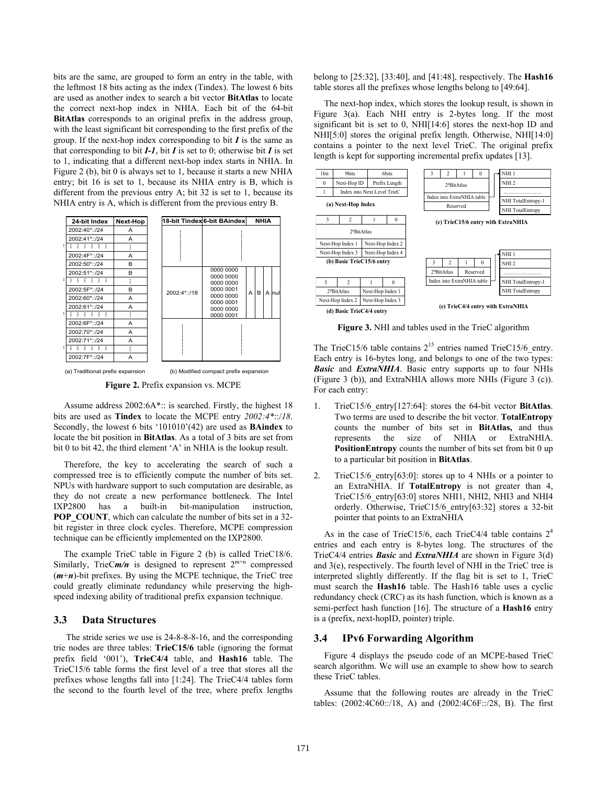bits are the same, are grouped to form an entry in the table, with the leftmost 18 bits acting as the index (Tindex). The lowest 6 bits are used as another index to search a bit vector **BitAtlas** to locate the correct next-hop index in NHIA. Each bit of the 64-bit **BitAtlas** corresponds to an original prefix in the address group, with the least significant bit corresponding to the first prefix of the group. If the next-hop index corresponding to bit *I* is the same as that corresponding to bit  $I-1$ , bit  $I$  is set to 0; otherwise bit  $I$  is set to 1, indicating that a different next-hop index starts in NHIA. In Figure 2 (b), bit 0 is always set to 1, because it starts a new NHIA entry; bit 16 is set to 1, because its NHIA entry is B, which is different from the previous entry A; bit 32 is set to 1, because its NHIA entry is A, which is different from the previous entry B.



<span id="page-3-0"></span>

**Figure 2.** Prefix expansion vs. MCPE

Assume address 2002:6A\*:: is searched. Firstly, the highest 18 bits are used as **Tindex** to locate the MCPE entry *2002:4\**::/*18*. Secondly, the lowest 6 bits '101010'(42) are used as **BAindex** to locate the bit position in **BitAtlas**. As a total of 3 bits are set from bit 0 to bit 42, the third element 'A' in NHIA is the lookup result.

Therefore, the key to accelerating the search of such a compressed tree is to efficiently compute the number of bits set. NPUs with hardware support to such computation are desirable, as they do not create a new performance bottleneck. The Intel IXP2800 has a built-in bit-manipulation instruction, **POP** COUNT, which can calculate the number of bits set in a 32bit register in three clock cycles. Therefore, MCPE compression technique can be efficiently implemented on the IXP2800.

The example TrieC table in Figure 2 (b) is called TrieC18/6. Similarly, TrieC $m/n$  is designed to represent  $2^{m+n}$  compressed  $(m+n)$ -bit prefixes. By using the MCPE technique, the TrieC tree could greatly eliminate redundancy while preserving the highspeed indexing ability of traditional prefix expansion technique.

## **3.3 Data Structures**

 The stride series we use is 24-8-8-8-16, and the corresponding trie nodes are three tables: **TrieC15/6** table (ignoring the format prefix field '001'), **TrieC4/4** table, and **Hash16** table. The TrieC15/6 table forms the first level of a tree that stores all the prefixes whose lengths fall into [1:24]. The TrieC4/4 tables form the second to the fourth level of the tree, where prefix lengths belong to [25:32], [33:40], and [41:48], respectively. The **Hash16** table stores all the prefixes whose lengths belong to [49:64].

The next-hop index, which stores the lookup result, is shown in Figure 3(a). Each NHI entry is 2-bytes long. If the most significant bit is set to 0, NHI[14:6] stores the next-hop ID and NHI[5:0] stores the original prefix length. Otherwise, NHI[14:0] contains a pointer to the next level TrieC. The original prefix length is kept for supporting incremental prefix updates [\[13\].](#page-9-25)



**Figure 3.** NHI and tables used in the TrieC algorithm

The TrieC15/6 table contains  $2^{15}$  entries named TrieC15/6 entry. Each entry is 16-bytes long, and belongs to one of the two types: *Basic* and *ExtraNHIA*. Basic entry supports up to four NHIs ([Figure 3](#page-3-0) (b)), and ExtraNHIA allows more NHIs [\(Figure 3](#page-3-0) (c)). For each entry:

- 1. TrieC15/6\_entry[127:64]: stores the 64-bit vector **BitAtlas**. Two terms are used to describe the bit vector. **TotalEntropy** counts the number of bits set in **BitAtlas,** and thus represents the size of NHIA or ExtraNHIA. **PositionEntropy** counts the number of bits set from bit 0 up to a particular bit position in **BitAtlas**.
- 2. TrieC15/6 entry[63:0]: stores up to 4 NHIs or a pointer to an ExtraNHIA. If **TotalEntropy** is not greater than 4, TrieC15/6\_entry[63:0] stores NHI1, NHI2, NHI3 and NHI4 orderly. Otherwise, TrieC15/6\_entry[63:32] stores a 32-bit pointer that points to an ExtraNHIA

As in the case of TrieC15/6, each TrieC4/4 table contains  $2^4$ entries and each entry is 8-bytes long. The structures of the TrieC4/4 entries *Basic* and *ExtraNHIA* are shown in Figure 3(d) and  $3(e)$ , respectively. The fourth level of NHI in the TrieC tree is interpreted slightly differently. If the flag bit is set to 1, TrieC must search the **Hash16** table. The Hash16 table uses a cyclic redundancy check (CRC) as its hash function, which is known as a semi-perfect hash function [\[16\]](#page-9-26). The structure of a **Hash16** entry is a (prefix, next-hopID, pointer) triple.

#### **3.4 IPv6 Forwarding Algorithm**

Figure 4 displays the pseudo code of an MCPE-based TrieC search algorithm. We will use an example to show how to search these TrieC tables.

Assume that the following routes are already in the TrieC tables: (2002:4C60::/18, A) and (2002:4C6F::/28, B). The first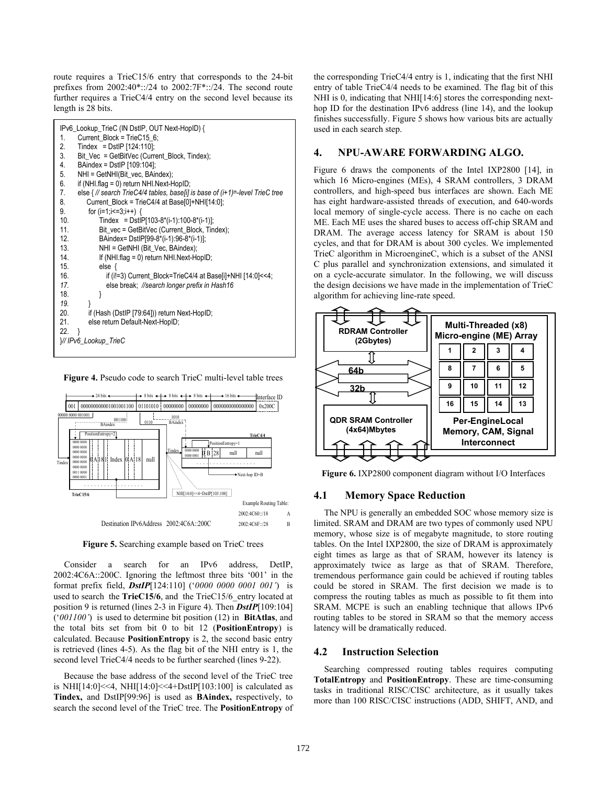route requires a TrieC15/6 entry that corresponds to the 24-bit prefixes from 2002:40\*::/24 to 2002:7F\*::/24. The second route further requires a TrieC4/4 entry on the second level because its length is 28 bits.

<span id="page-4-0"></span>

| IPv6_Lookup_TrieC (IN DstIP, OUT Next-HopID) {                                                      |
|-----------------------------------------------------------------------------------------------------|
| Current Block = TrieC15 6:<br>1.                                                                    |
| 2.<br>Tindex = $DistIP$ [124:110]                                                                   |
| 3.<br>Bit_Vec = GetBitVec (Current_Block, Tindex);                                                  |
| BAindex = DstlP [109:104].<br>4.                                                                    |
| NHI = GetNHI(Bit_vec, BAindex);<br>5.                                                               |
| if (NHI.flag = 0) return NHI.Next-HopID;<br>6.                                                      |
| else { // search TrieC4/4 tables, base [i] is base of $(i+1)$ <sup>th</sup> -level TrieC tree<br>7. |
| 8.<br>Current Block = TrieC4/4 at Base[0]+NHI[14:0];                                                |
| 9.<br>for $(i=1; i<=3; i++)$ {                                                                      |
| 10.<br>Tindex = DstlP[103-8*(i-1):100-8*(i-1)];                                                     |
| 11.<br>Bit_vec = GetBitVec (Current_Block, Tindex);                                                 |
| 12.<br>BAindex= DstlP[99-8*(i-1):96-8*(i-1)];                                                       |
| 13.<br>NHI = GetNHI (Bit_Vec, BAindex);                                                             |
| 14.<br>If (NHI flag = 0) return NHI Next-HopID;                                                     |
| 15.<br>else $\{$                                                                                    |
| 16.<br>if (i!=3) Current_Block=TrieC4/4 at Base[i]+NHI [14:0]<<4;                                   |
| 17.<br>else break; //search longer prefix in Hash16                                                 |
| 18.<br>}                                                                                            |
| 19.<br>ł                                                                                            |
| if (Hash (DstlP [79:64])) return Next-HopID;<br>20.                                                 |
| 21.<br>else return Default-Next-HopID;                                                              |
| 22.                                                                                                 |
| W IPv6_Lookup_TrieC                                                                                 |
|                                                                                                     |

**Figure 4.** Pseudo code to search TrieC multi-level table trees

<span id="page-4-2"></span>

**Figure 5.** Searching example based on TrieC trees

<span id="page-4-1"></span>Consider a search for an IPv6 address, DetIP, 2002:4C6A::200C. Ignoring the leftmost three bits '001' in the format prefix field, *DstIP*[124:110] ('*0000 0000 0001 001'*) is used to search the **TrieC15/6**, and the TrieC15/6\_entry located at position 9 is returned (lines 2-3 in Figure 4). Then *DstIP*[109:104] ('*001100'*) is used to determine bit position (12) in **BitAtlas**, and the total bits set from bit 0 to bit 12 (**PositionEntropy**) is calculated. Because **PositionEntropy** is 2, the second basic entry is retrieved (lines 4-5). As the flag bit of the NHI entry is 1, the second level TrieC4/4 needs to be further searched (lines 9-22).

Because the base address of the second level of the TrieC tree is NHI[14:0]<<4, NHI[14:0]<<4+DstIP[103:100] is calculated as **Tindex,** and DstIP[99:96] is used as **BAindex,** respectively, to search the second level of the TrieC tree. The **PositionEntropy** of the corresponding TrieC4/4 entry is 1, indicating that the first NHI entry of table TrieC4/4 needs to be examined. The flag bit of this NHI is 0, indicating that NHI[14:6] stores the corresponding nexthop ID for the destination IPv6 address (line 14), and the lookup finishes successfully. [Figure 5](#page-4-1) shows how various bits are actually used in each search step.

## 4. NPU-AWARE FORWARDING ALGO.

[Figure 6](#page-4-2) draws the components of the Intel IXP2800  $[14]$ , in which 16 Micro-engines (MEs), 4 SRAM controllers, 3 DRAM controllers, and high-speed bus interfaces are shown. Each ME has eight hardware-assisted threads of execution, and 640-words local memory of single-cycle access. There is no cache on each ME. Each ME uses the shared buses to access off-chip SRAM and DRAM. The average access latency for SRAM is about 150 cycles, and that for DRAM is about 300 cycles. We implemented TrieC algorithm in MicroengineC, which is a subset of the ANSI C plus parallel and synchronization extensions, and simulated it on a cycle-accurate simulator. In the following, we will discuss the design decisions we have made in the implementation of TrieC algorithm for achieving line-rate speed.



**Figure 6.** IXP2800 component diagram without I/O Interfaces

## **4.1 Memory Space Reduction**

The NPU is generally an embedded SOC whose memory size is limited. SRAM and DRAM are two types of commonly used NPU memory, whose size is of megabyte magnitude, to store routing tables. On the Intel IXP2800, the size of DRAM is approximately eight times as large as that of SRAM, however its latency is approximately twice as large as that of SRAM. Therefore, tremendous performance gain could be achieved if routing tables could be stored in SRAM. The first decision we made is to compress the routing tables as much as possible to fit them into SRAM. MCPE is such an enabling technique that allows IPv6 routing tables to be stored in SRAM so that the memory access latency will be dramatically reduced.

#### **4.2 Instruction Selection**

Searching compressed routing tables requires computing **TotalEntropy** and **PositionEntropy**. These are time-consuming tasks in traditional RISC/CISC architecture, as it usually takes more than 100 RISC/CISC instructions (ADD, SHIFT, AND, and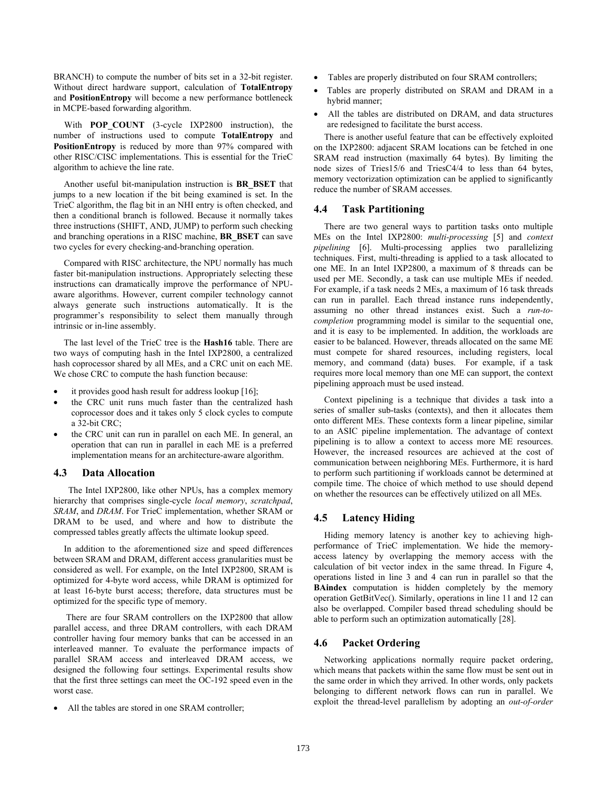BRANCH) to compute the number of bits set in a 32-bit register. Without direct hardware support, calculation of **TotalEntropy** and **PositionEntropy** will become a new performance bottleneck in MCPE-based forwarding algorithm.

With **POP\_COUNT** (3-cycle IXP2800 instruction), the number of instructions used to compute **TotalEntropy** and **PositionEntropy** is reduced by more than 97% compared with other RISC/CISC implementations. This is essential for the TrieC algorithm to achieve the line rate.

Another useful bit-manipulation instruction is **BR\_BSET** that jumps to a new location if the bit being examined is set. In the TrieC algorithm, the flag bit in an NHI entry is often checked, and then a conditional branch is followed. Because it normally takes three instructions (SHIFT, AND, JUMP) to perform such checking and branching operations in a RISC machine, **BR\_BSET** can save two cycles for every checking-and-branching operation.

Compared with RISC architecture, the NPU normally has much faster bit-manipulation instructions. Appropriately selecting these instructions can dramatically improve the performance of NPUaware algorithms. However, current compiler technology cannot always generate such instructions automatically. It is the programmer's responsibility to select them manually through intrinsic or in-line assembly.

The last level of the TrieC tree is the **Hash16** table. There are two ways of computing hash in the Intel IXP2800, a centralized hash coprocessor shared by all MEs, and a CRC unit on each ME. We chose CRC to compute the hash function because:

- it provides good hash result for address lookup [\[16\]](#page-9-26);
- the CRC unit runs much faster than the centralized hash coprocessor does and it takes only 5 clock cycles to compute a 32-bit CRC;
- the CRC unit can run in parallel on each ME. In general, an operation that can run in parallel in each ME is a preferred implementation means for an architecture-aware algorithm.

## <span id="page-5-0"></span>**4.3 Data Allocation**

The Intel IXP2800, like other NPUs, has a complex memory hierarchy that comprises single-cycle *local memory*, *scratchpad*, *SRAM*, and *DRAM*. For TrieC implementation, whether SRAM or DRAM to be used, and where and how to distribute the compressed tables greatly affects the ultimate lookup speed.

In addition to the aforementioned size and speed differences between SRAM and DRAM, different access granularities must be considered as well. For example, on the Intel IXP2800, SRAM is optimized for 4-byte word access, while DRAM is optimized for at least 16-byte burst access; therefore, data structures must be optimized for the specific type of memory.

 There are four SRAM controllers on the IXP2800 that allow parallel access, and three DRAM controllers, with each DRAM controller having four memory banks that can be accessed in an interleaved manner. To evaluate the performance impacts of parallel SRAM access and interleaved DRAM access, we designed the following four settings. Experimental results show that the first three settings can meet the OC-192 speed even in the worst case.

All the tables are stored in one SRAM controller;

- Tables are properly distributed on four SRAM controllers;
- Tables are properly distributed on SRAM and DRAM in a hybrid manner;
- All the tables are distributed on DRAM, and data structures are redesigned to facilitate the burst access.

There is another useful feature that can be effectively exploited on the IXP2800: adjacent SRAM locations can be fetched in one SRAM read instruction (maximally 64 bytes). By limiting the node sizes of Tries15/6 and TriesC4/4 to less than 64 bytes, memory vectorization optimization can be applied to significantly reduce the number of SRAM accesses.

#### **4.4 Task Partitioning**

There are two general ways to partition tasks onto multiple MEs on the Intel IXP2800: *multi-processing* [\[5\]](#page-9-27) and *context pipelining* [\[6\].](#page-9-28) Multi-processing applies two parallelizing techniques. First, multi-threading is applied to a task allocated to one ME. In an Intel IXP2800, a maximum of 8 threads can be used per ME. Secondly, a task can use multiple MEs if needed. For example, if a task needs 2 MEs, a maximum of 16 task threads can run in parallel. Each thread instance runs independently, assuming no other thread instances exist. Such a *run-tocompletion* programming model is similar to the sequential one, and it is easy to be implemented. In addition, the workloads are easier to be balanced. However, threads allocated on the same ME must compete for shared resources, including registers, local memory, and command (data) buses. For example, if a task requires more local memory than one ME can support, the context pipelining approach must be used instead.

Context pipelining is a technique that divides a task into a series of smaller sub-tasks (contexts), and then it allocates them onto different MEs. These contexts form a linear pipeline, similar to an ASIC pipeline implementation. The advantage of context pipelining is to allow a context to access more ME resources. However, the increased resources are achieved at the cost of communication between neighboring MEs. Furthermore, it is hard to perform such partitioning if workloads cannot be determined at compile time. The choice of which method to use should depend on whether the resources can be effectively utilized on all MEs.

# **4.5 Latency Hiding**

Hiding memory latency is another key to achieving highperformance of TrieC implementation. We hide the memoryaccess latency by overlapping the memory access with the calculation of bit vector index in the same thread. In Figure 4, operations listed in line 3 and 4 can run in parallel so that the **BAindex** computation is hidden completely by the memory operation GetBitVec(). Similarly, operations in line 11 and 12 can also be overlapped. Compiler based thread scheduling should be able to perform such an optimization automatically [\[28\].](#page-9-29)

## **4.6 Packet Ordering**

Networking applications normally require packet ordering, which means that packets within the same flow must be sent out in the same order in which they arrived. In other words, only packets belonging to different network flows can run in parallel. We exploit the thread-level parallelism by adopting an *out-of-order*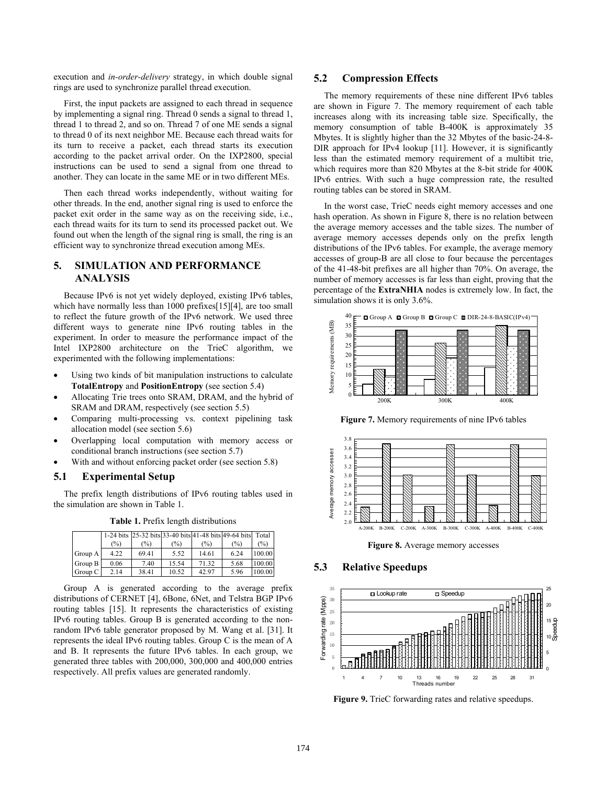execution and *in-order-delivery* strategy, in which double signal rings are used to synchronize parallel thread execution.

First, the input packets are assigned to each thread in sequence by implementing a signal ring. Thread 0 sends a signal to thread 1, thread 1 to thread 2, and so on. Thread 7 of one ME sends a signal to thread 0 of its next neighbor ME. Because each thread waits for its turn to receive a packet, each thread starts its execution according to the packet arrival order. On the IXP2800, special instructions can be used to send a signal from one thread to another. They can locate in the same ME or in two different MEs.

Then each thread works independently, without waiting for other threads. In the end, another signal ring is used to enforce the packet exit order in the same way as on the receiving side, i.e., each thread waits for its turn to send its processed packet out. We found out when the length of the signal ring is small, the ring is an efficient way to synchronize thread execution among MEs.

## <span id="page-6-0"></span>**5. SIMULATION AND PERFORMANCE ANALYSIS**

Because IPv6 is not yet widely deployed, existing IPv6 tables, which have normally less than 1000 prefixes[\[15\]](#page-9-22)[\[4\]](#page-9-23), are too small to reflect the future growth of the IPv6 network. We used three different ways to generate nine IPv6 routing tables in the experiment. In order to measure the performance impact of the Intel IXP2800 architecture on the TrieC algorithm, we experimented with the following implementations:

- Using two kinds of bit manipulation instructions to calculate **TotalEntropy** and **PositionEntropy** (see section [5.4](#page-7-0))
- Allocating Trie trees onto SRAM, DRAM, and the hybrid of SRAM and DRAM, respectively (see section [5.5](#page-7-1))
- <span id="page-6-1"></span>• Comparing multi-processing vs. context pipelining task allocation model (see section [5.6\)](#page-8-2)
- Overlapping local computation with memory access or conditional branch instructions (see section [5.7\)](#page-8-3)
- With and without enforcing packet order (see section [5.8](#page-8-4))

# **5.1 Experimental Setup**

The prefix length distributions of IPv6 routing tables used in the simulation are shown in Table 1.

**Table 1.** Prefix length distributions

|         |                | 1-24 bits 25-32 bits 33-40 bits 41-48 bits 49-64 bits Total |       |       |               |                |
|---------|----------------|-------------------------------------------------------------|-------|-------|---------------|----------------|
|         | $\binom{0}{0}$ | $\frac{6}{2}$                                               | (%)   | (%)   | $\frac{6}{2}$ | $\binom{0}{0}$ |
| Group A | 4.22           | 69.41                                                       | 5.52  | 14.61 | 6.24          | 100.00         |
| Group B | 0.06           | 7.40                                                        | 15.54 | 71.32 | 5.68          | 100.00         |
| Group C | 2.14           | 38.41                                                       | 10.52 | 42.97 | 5.96          | 100.00         |

<span id="page-6-3"></span><span id="page-6-2"></span>Group A is generated according to the average prefix distributions of CERNET [\[4\],](#page-9-23) 6Bone, 6Net, and Telstra BGP IPv6 routing tables [\[15\]](#page-9-22). It represents the characteristics of existing IPv6 routing tables. Group B is generated according to the nonrandom IPv6 table generator proposed by M. Wang et al. [\[31\].](#page-9-30) It represents the ideal IPv6 routing tables. Group C is the mean of A and B. It represents the future IPv6 tables. In each group, we generated three tables with 200,000, 300,000 and 400,000 entries respectively. All prefix values are generated randomly.

#### **5.2 Compression Effects**

The memory requirements of these nine different IPv6 tables are shown in [Figure 7](#page-6-1). The memory requirement of each table increases along with its increasing table size. Specifically, the memory consumption of table B-400K is approximately 35 Mbytes. It is slightly higher than the 32 Mbytes of the basic-24-8- DIR approach for IPv4 lookup [\[11\]](#page-9-11). However, it is significantly less than the estimated memory requirement of a multibit trie, which requires more than 820 Mbytes at the 8-bit stride for 400K IPv6 entries. With such a huge compression rate, the resulted routing tables can be stored in SRAM.

In the worst case, TrieC needs eight memory accesses and one hash operation. As shown in [Figure 8,](#page-6-2) there is no relation between the average memory accesses and the table sizes. The number of average memory accesses depends only on the prefix length distributions of the IPv6 tables. For example, the average memory accesses of group-B are all close to four because the percentages of the 41-48-bit prefixes are all higher than 70%. On average, the number of memory accesses is far less than eight, proving that the percentage of the **ExtraNHIA** nodes is extremely low. In fact, the simulation shows it is only 3.6%.



**Figure 7.** Memory requirements of nine IPv6 tables



**Figure 8.** Average memory accesses

#### **5.3 Relative Speedups**



**Figure 9.** TrieC forwarding rates and relative speedups.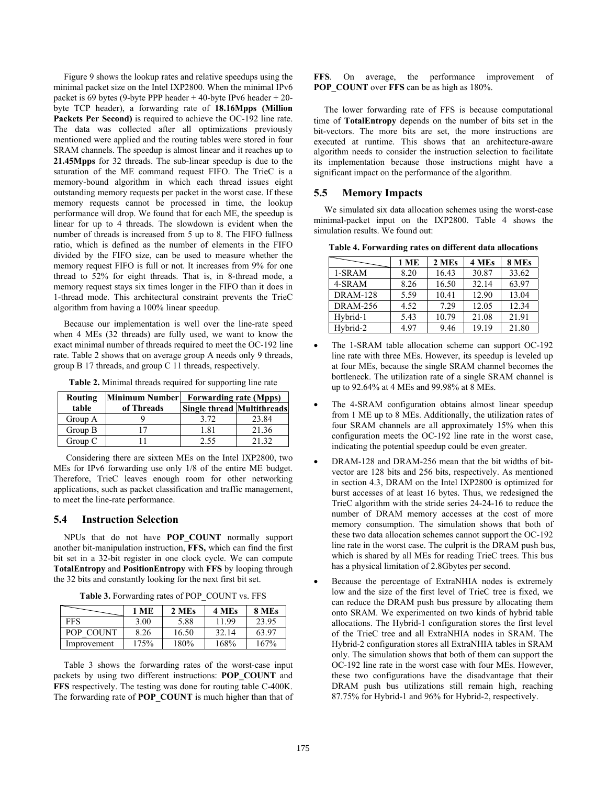<span id="page-7-1"></span>[Figure 9](#page-6-3) shows the lookup rates and relative speedups using the minimal packet size on the Intel IXP2800. When the minimal IPv6 packet is 69 bytes (9-byte PPP header  $+$  40-byte IPv6 header  $+$  20byte TCP header), a forwarding rate of **18.16Mpps (Million Packets Per Second)** is required to achieve the OC-192 line rate. The data was collected after all optimizations previously mentioned were applied and the routing tables were stored in four SRAM channels. The speedup is almost linear and it reaches up to **21.45Mpps** for 32 threads. The sub-linear speedup is due to the saturation of the ME command request FIFO. The TrieC is a memory-bound algorithm in which each thread issues eight outstanding memory requests per packet in the worst case. If these memory requests cannot be processed in time, the lookup performance will drop. We found that for each ME, the speedup is linear for up to 4 threads. The slowdown is evident when the number of threads is increased from 5 up to 8. The FIFO fullness ratio, which is defined as the number of elements in the FIFO divided by the FIFO size, can be used to measure whether the memory request FIFO is full or not. It increases from 9% for one thread to 52% for eight threads. That is, in 8-thread mode, a memory request stays six times longer in the FIFO than it does in 1-thread mode. This architectural constraint prevents the TrieC algorithm from having a 100% linear speedup.

Because our implementation is well over the line-rate speed when 4 MEs (32 threads) are fully used, we want to know the exact minimal number of threads required to meet the OC-192 line rate. Table 2 shows that on average group A needs only 9 threads, group B 17 threads, and group C 11 threads, respectively.

| Routing   | <b>Minimum Number</b> | <b>Forwarding rate (Mpps)</b>     |       |
|-----------|-----------------------|-----------------------------------|-------|
| table     | of Threads            | <b>Single thread Multithreads</b> |       |
| Group A   |                       | 3.72                              | 23.84 |
| Group B   | 17                    | 1.81                              | 21.36 |
| Group $C$ |                       | 2.55                              | 21.32 |

**Table 2.** Minimal threads required for supporting line rate

 Considering there are sixteen MEs on the Intel IXP2800, two MEs for IPv6 forwarding use only 1/8 of the entire ME budget. Therefore, TrieC leaves enough room for other networking applications, such as packet classification and traffic management, to meet the line-rate performance.

#### <span id="page-7-0"></span>**5.4 Instruction Selection**

NPUs that do not have **POP\_COUNT** normally support another bit-manipulation instruction, **FFS,** which can find the first bit set in a 32-bit register in one clock cycle. We can compute **TotalEntropy** and **PositionEntropy** with **FFS** by looping through the 32 bits and constantly looking for the next first bit set.

**Table 3.** Forwarding rates of POP\_COUNT vs. FFS

|             | 1 ME | 2 MEs | 4 MEs | 8 MEs |
|-------------|------|-------|-------|-------|
| <b>FFS</b>  | 3.00 | 5.88  | 11.99 | 23.95 |
| POP COUNT   | 8.26 | 16.50 | 32.14 | 63.97 |
| Improvement | 175% | 180%  | 168%  | 167%  |

Table 3 shows the forwarding rates of the worst-case input packets by using two different instructions: **POP\_COUNT** and **FFS** respectively. The testing was done for routing table C-400K. The forwarding rate of **POP\_COUNT** is much higher than that of **FFS**. On average, the performance improvement of **POP\_COUNT** over **FFS** can be as high as 180%.

The lower forwarding rate of FFS is because computational time of **TotalEntropy** depends on the number of bits set in the bit-vectors. The more bits are set, the more instructions are executed at runtime. This shows that an architecture-aware algorithm needs to consider the instruction selection to facilitate its implementation because those instructions might have a significant impact on the performance of the algorithm.

#### **5.5 Memory Impacts**

We simulated six data allocation schemes using the worst-case minimal-packet input on the IXP2800. Table 4 shows the simulation results. We found out:

**Table 4. Forwarding rates on different data allocations** 

|                 | 1 ME | 2 MEs | 4 MEs | 8 MEs |
|-----------------|------|-------|-------|-------|
| 1-SRAM          | 8.20 | 16.43 | 30.87 | 33.62 |
| 4-SRAM          | 8.26 | 16.50 | 32.14 | 63.97 |
| <b>DRAM-128</b> | 5.59 | 10.41 | 12.90 | 13.04 |
| <b>DRAM-256</b> | 4.52 | 7.29  | 12.05 | 12.34 |
| Hybrid-1        | 5.43 | 10.79 | 21.08 | 21.91 |
| Hybrid-2        | 4.97 | 9.46  | 19.19 | 21.80 |

- The 1-SRAM table allocation scheme can support OC-192 line rate with three MEs. However, its speedup is leveled up at four MEs, because the single SRAM channel becomes the bottleneck. The utilization rate of a single SRAM channel is up to 92.64% at 4 MEs and 99.98% at 8 MEs.
- The 4-SRAM configuration obtains almost linear speedup from 1 ME up to 8 MEs. Additionally, the utilization rates of four SRAM channels are all approximately 15% when this configuration meets the OC-192 line rate in the worst case, indicating the potential speedup could be even greater.
- DRAM-128 and DRAM-256 mean that the bit widths of bitvector are 128 bits and 256 bits, respectively. As mentioned in section [4.3](#page-5-0), DRAM on the Intel IXP2800 is optimized for burst accesses of at least 16 bytes. Thus, we redesigned the TrieC algorithm with the stride series 24-24-16 to reduce the number of DRAM memory accesses at the cost of more memory consumption. The simulation shows that both of these two data allocation schemes cannot support the OC-192 line rate in the worst case. The culprit is the DRAM push bus, which is shared by all MEs for reading TrieC trees. This bus has a physical limitation of 2.8Gbytes per second.
- Because the percentage of ExtraNHIA nodes is extremely low and the size of the first level of TrieC tree is fixed, we can reduce the DRAM push bus pressure by allocating them onto SRAM. We experimented on two kinds of hybrid table allocations. The Hybrid-1 configuration stores the first level of the TrieC tree and all ExtraNHIA nodes in SRAM. The Hybrid-2 configuration stores all ExtraNHIA tables in SRAM only. The simulation shows that both of them can support the OC-192 line rate in the worst case with four MEs. However, these two configurations have the disadvantage that their DRAM push bus utilizations still remain high, reaching 87.75% for Hybrid-1 and 96% for Hybrid-2, respectively.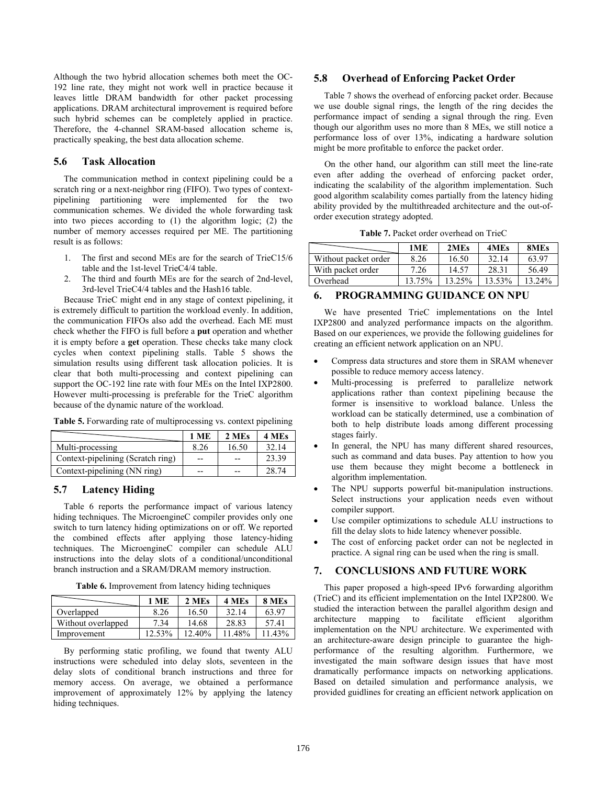<span id="page-8-4"></span>Although the two hybrid allocation schemes both meet the OC-192 line rate, they might not work well in practice because it leaves little DRAM bandwidth for other packet processing applications. DRAM architectural improvement is required before such hybrid schemes can be completely applied in practice. Therefore, the 4-channel SRAM-based allocation scheme is, practically speaking, the best data allocation scheme.

## <span id="page-8-2"></span>**5.6 Task Allocation**

The communication method in context pipelining could be a scratch ring or a next-neighbor ring (FIFO). Two types of contextpipelining partitioning were implemented for the two communication schemes. We divided the whole forwarding task into two pieces according to (1) the algorithm logic; (2) the number of memory accesses required per ME. The partitioning result is as follows:

- 1. The first and second MEs are for the search of TrieC15/6 table and the 1st-level TrieC4/4 table.
- 2. The third and fourth MEs are for the search of 2nd-level, 3rd-level TrieC4/4 tables and the Hash16 table.

<span id="page-8-0"></span>Because TrieC might end in any stage of context pipelining, it is extremely difficult to partition the workload evenly. In addition, the communication FIFOs also add the overhead. Each ME must check whether the FIFO is full before a **put** operation and whether it is empty before a **get** operation. These checks take many clock cycles when context pipelining stalls. Table 5 shows the simulation results using different task allocation policies. It is clear that both multi-processing and context pipelining can support the OC-192 line rate with four MEs on the Intel IXP2800. However multi-processing is preferable for the TrieC algorithm because of the dynamic nature of the workload.

**Table 5.** Forwarding rate of multiprocessing vs. context pipelining

|                                   | 1 ME | 2 MEs | 4 MEs |
|-----------------------------------|------|-------|-------|
| Multi-processing                  | 8.26 | 16.50 | 32.14 |
| Context-pipelining (Scratch ring) | $-$  | $-$   | 23.39 |
| Context-pipelining (NN ring)      | --   | $-$   | 28.74 |

# <span id="page-8-3"></span>**5.7 Latency Hiding**

Table 6 reports the performance impact of various latency hiding techniques. The MicroengineC compiler provides only one switch to turn latency hiding optimizations on or off. We reported the combined effects after applying those latency-hiding techniques. The MicroengineC compiler can schedule ALU instructions into the delay slots of a conditional/unconditional branch instruction and a SRAM/DRAM memory instruction.

**Table 6.** Improvement from latency hiding techniques

<span id="page-8-1"></span>

|                    | 1 ME   | 2 MEs  | 4 MEs  | 8 MEs  |
|--------------------|--------|--------|--------|--------|
| Overlapped         | 8.26   | 16.50  | 32.14  | 63.97  |
| Without overlapped | 7.34   | 14.68  | 28.83  | 57.41  |
| Improvement        | 12.53% | 12.40% | 11.48% | 11 43% |

By performing static profiling, we found that twenty ALU instructions were scheduled into delay slots, seventeen in the delay slots of conditional branch instructions and three for memory access. On average, we obtained a performance improvement of approximately 12% by applying the latency hiding techniques.

#### **5.8 Overhead of Enforcing Packet Order**

Table 7 shows the overhead of enforcing packet order. Because we use double signal rings, the length of the ring decides the performance impact of sending a signal through the ring. Even though our algorithm uses no more than 8 MEs, we still notice a performance loss of over 13%, indicating a hardware solution might be more profitable to enforce the packet order.

On the other hand, our algorithm can still meet the line-rate even after adding the overhead of enforcing packet order, indicating the scalability of the algorithm implementation. Such good algorithm scalability comes partially from the latency hiding ability provided by the multithreaded architecture and the out-oforder execution strategy adopted.

**Table 7.** Packet order overhead on TrieC

|                      | 1 M E  | 2MEs   | 4MEs   | <b>SMEs</b> |
|----------------------|--------|--------|--------|-------------|
| Without packet order | 8.26   | 16.50  | 32.14  | 63.97       |
| With packet order    | 7.26   | 14.57  | 28.31  | 56.49       |
| Overhead             | 13 75% | 13.25% | 13.53% | 13 24%      |

## **6. PROGRAMMING GUIDANCE ON NPU**

We have presented TrieC implementations on the Intel IXP2800 and analyzed performance impacts on the algorithm. Based on our experiences, we provide the following guidelines for creating an efficient network application on an NPU.

- Compress data structures and store them in SRAM whenever possible to reduce memory access latency.
- Multi-processing is preferred to parallelize network applications rather than context pipelining because the former is insensitive to workload balance. Unless the workload can be statically determined, use a combination of both to help distribute loads among different processing stages fairly.
- In general, the NPU has many different shared resources, such as command and data buses. Pay attention to how you use them because they might become a bottleneck in algorithm implementation.
- The NPU supports powerful bit-manipulation instructions. Select instructions your application needs even without compiler support.
- Use compiler optimizations to schedule ALU instructions to fill the delay slots to hide latency whenever possible.
- The cost of enforcing packet order can not be neglected in practice. A signal ring can be used when the ring is small.

## **7. CONCLUSIONS AND FUTURE WORK**

This paper proposed a high-speed IPv6 forwarding algorithm (TrieC) and its efficient implementation on the Intel IXP2800. We studied the interaction between the parallel algorithm design and architecture mapping to facilitate efficient algorithm implementation on the NPU architecture. We experimented with an architecture-aware design principle to guarantee the highperformance of the resulting algorithm. Furthermore, we investigated the main software design issues that have most dramatically performance impacts on networking applications. Based on detailed simulation and performance analysis, we provided guidlines for creating an efficient network application on